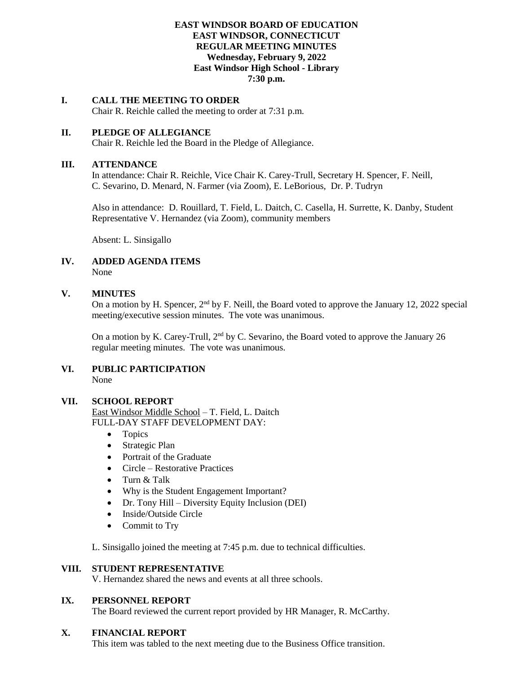## **EAST WINDSOR BOARD OF EDUCATION EAST WINDSOR, CONNECTICUT REGULAR MEETING MINUTES Wednesday, February 9, 2022 East Windsor High School - Library 7:30 p.m.**

# **I. CALL THE MEETING TO ORDER**

Chair R. Reichle called the meeting to order at 7:31 p.m.

## **II. PLEDGE OF ALLEGIANCE**

Chair R. Reichle led the Board in the Pledge of Allegiance.

## **III. ATTENDANCE**

In attendance: Chair R. Reichle, Vice Chair K. Carey-Trull, Secretary H. Spencer, F. Neill, C. Sevarino, D. Menard, N. Farmer (via Zoom), E. LeBorious, Dr. P. Tudryn

Also in attendance: D. Rouillard, T. Field, L. Daitch, C. Casella, H. Surrette, K. Danby, Student Representative V. Hernandez (via Zoom), community members

Absent: L. Sinsigallo

#### **IV. ADDED AGENDA ITEMS** None

## **V. MINUTES**

On a motion by H. Spencer, 2<sup>nd</sup> by F. Neill, the Board voted to approve the January 12, 2022 special meeting/executive session minutes. The vote was unanimous.

On a motion by K. Carey-Trull, 2<sup>nd</sup> by C. Sevarino, the Board voted to approve the January 26 regular meeting minutes. The vote was unanimous.

#### **VI. PUBLIC PARTICIPATION** None

## **VII. SCHOOL REPORT**

East Windsor Middle School – T. Field, L. Daitch FULL-DAY STAFF DEVELOPMENT DAY:

- Topics
- Strategic Plan
- Portrait of the Graduate
- Circle Restorative Practices
- Turn & Talk
- Why is the Student Engagement Important?
- Dr. Tony Hill Diversity Equity Inclusion (DEI)
- Inside/Outside Circle
- Commit to Try

L. Sinsigallo joined the meeting at 7:45 p.m. due to technical difficulties.

#### **VIII. STUDENT REPRESENTATIVE**

V. Hernandez shared the news and events at all three schools.

# **IX. PERSONNEL REPORT**

The Board reviewed the current report provided by HR Manager, R. McCarthy.

## **X. FINANCIAL REPORT**

This item was tabled to the next meeting due to the Business Office transition.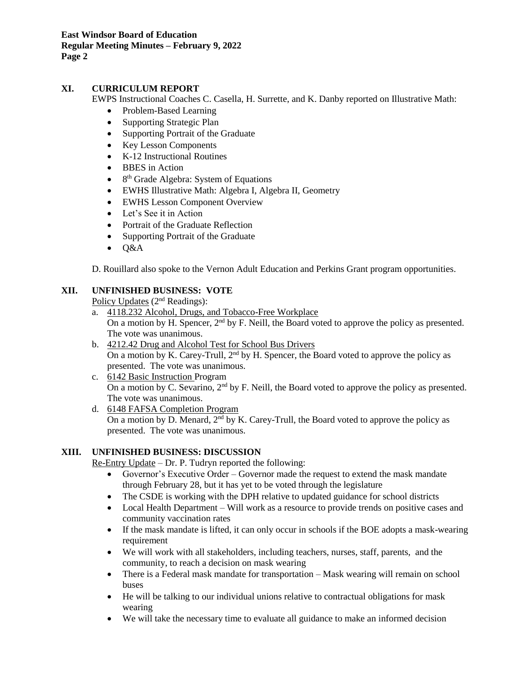**East Windsor Board of Education Regular Meeting Minutes – February 9, 2022 Page 2**

# **XI. CURRICULUM REPORT**

EWPS Instructional Coaches C. Casella, H. Surrette, and K. Danby reported on Illustrative Math:

- Problem-Based Learning
- Supporting Strategic Plan
- Supporting Portrait of the Graduate
- Key Lesson Components
- K-12 Instructional Routines
- BBES in Action
- $\bullet$ 8<sup>th</sup> Grade Algebra: System of Equations
- EWHS Illustrative Math: Algebra I, Algebra II, Geometry
- EWHS Lesson Component Overview
- Let's See it in Action
- Portrait of the Graduate Reflection
- Supporting Portrait of the Graduate
- Q&A

D. Rouillard also spoke to the Vernon Adult Education and Perkins Grant program opportunities.

# **XII. UNFINISHED BUSINESS: VOTE**

Policy Updates (2nd Readings):

- a. 4118.232 Alcohol, Drugs, and Tobacco-Free Workplace On a motion by H. Spencer, 2<sup>nd</sup> by F. Neill, the Board voted to approve the policy as presented. The vote was unanimous.
- b. 4212.42 Drug and Alcohol Test for School Bus Drivers On a motion by K. Carey-Trull,  $2<sup>nd</sup>$  by H. Spencer, the Board voted to approve the policy as presented. The vote was unanimous.
- c. 6142 Basic Instruction Program On a motion by C. Sevarino, 2<sup>nd</sup> by F. Neill, the Board voted to approve the policy as presented. The vote was unanimous.
- d. 6148 FAFSA Completion Program On a motion by D. Menard,  $2<sup>nd</sup>$  by K. Carey-Trull, the Board voted to approve the policy as presented. The vote was unanimous.

# **XIII. UNFINISHED BUSINESS: DISCUSSION**

Re-Entry Update – Dr. P. Tudryn reported the following:

- Governor's Executive Order Governor made the request to extend the mask mandate through February 28, but it has yet to be voted through the legislature
- The CSDE is working with the DPH relative to updated guidance for school districts
- Local Health Department Will work as a resource to provide trends on positive cases and community vaccination rates
- If the mask mandate is lifted, it can only occur in schools if the BOE adopts a mask-wearing requirement
- We will work with all stakeholders, including teachers, nurses, staff, parents, and the community, to reach a decision on mask wearing
- There is a Federal mask mandate for transportation Mask wearing will remain on school buses
- He will be talking to our individual unions relative to contractual obligations for mask wearing
- We will take the necessary time to evaluate all guidance to make an informed decision